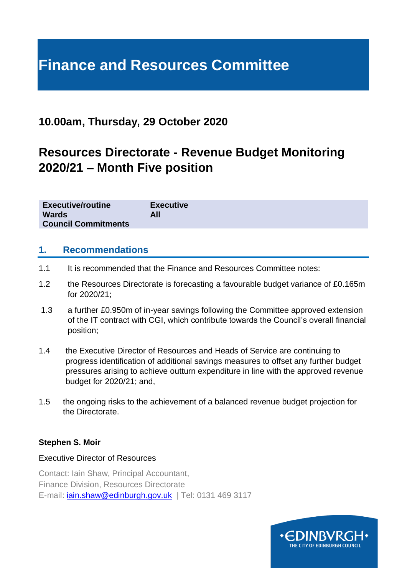# **Finance and Resources Committee**

## **10.00am, Thursday, 29 October 2020**

# **Resources Directorate - Revenue Budget Monitoring 2020/21 – Month Five position**

| <b>Executive/routine</b>   | <b>Executive</b> |
|----------------------------|------------------|
| <b>Wards</b>               | All              |
| <b>Council Commitments</b> |                  |

#### **1. Recommendations**

- 1.1 It is recommended that the Finance and Resources Committee notes:
- 1.2 the Resources Directorate is forecasting a favourable budget variance of £0.165m for 2020/21;
- 1.3 a further £0.950m of in-year savings following the Committee approved extension of the IT contract with CGI, which contribute towards the Council's overall financial position;
- 1.4 the Executive Director of Resources and Heads of Service are continuing to progress identification of additional savings measures to offset any further budget pressures arising to achieve outturn expenditure in line with the approved revenue budget for 2020/21; and,
- 1.5 the ongoing risks to the achievement of a balanced revenue budget projection for the Directorate.

#### **Stephen S. Moir**

#### Executive Director of Resources

Contact: Iain Shaw, Principal Accountant, Finance Division, Resources Directorate E-mail: [iain.shaw@edinburgh.gov.uk](mailto:iain.shaw@edinburgh.gov.uk) | Tel: 0131 469 3117

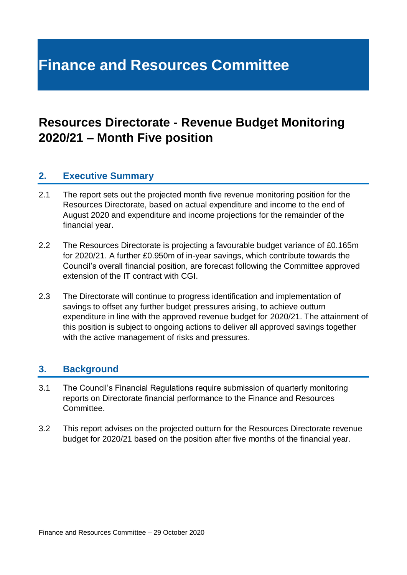# **Finance and Resources Committee**

# **Resources Directorate - Revenue Budget Monitoring 2020/21 – Month Five position**

## **2. Executive Summary**

- 2.1 The report sets out the projected month five revenue monitoring position for the Resources Directorate, based on actual expenditure and income to the end of August 2020 and expenditure and income projections for the remainder of the financial year.
- 2.2 The Resources Directorate is projecting a favourable budget variance of £0.165m for 2020/21. A further £0.950m of in-year savings, which contribute towards the Council's overall financial position, are forecast following the Committee approved extension of the IT contract with CGI.
- 2.3 The Directorate will continue to progress identification and implementation of savings to offset any further budget pressures arising, to achieve outturn expenditure in line with the approved revenue budget for 2020/21. The attainment of this position is subject to ongoing actions to deliver all approved savings together with the active management of risks and pressures.

### **3. Background**

- 3.1 The Council's Financial Regulations require submission of quarterly monitoring reports on Directorate financial performance to the Finance and Resources Committee.
- 3.2 This report advises on the projected outturn for the Resources Directorate revenue budget for 2020/21 based on the position after five months of the financial year.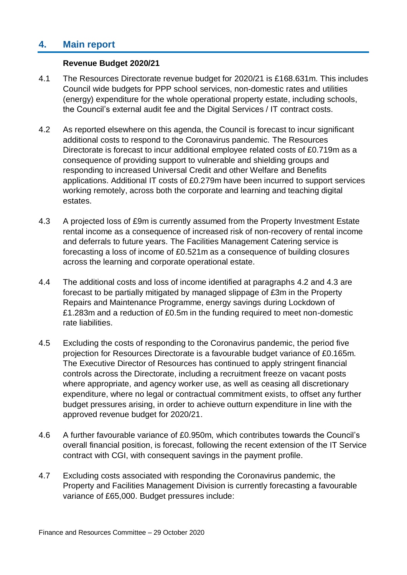## **4. Main report**

#### **Revenue Budget 2020/21**

- 4.1 The Resources Directorate revenue budget for 2020/21 is £168.631m. This includes Council wide budgets for PPP school services, non-domestic rates and utilities (energy) expenditure for the whole operational property estate, including schools, the Council's external audit fee and the Digital Services / IT contract costs.
- 4.2 As reported elsewhere on this agenda, the Council is forecast to incur significant additional costs to respond to the Coronavirus pandemic. The Resources Directorate is forecast to incur additional employee related costs of £0.719m as a consequence of providing support to vulnerable and shielding groups and responding to increased Universal Credit and other Welfare and Benefits applications. Additional IT costs of £0.279m have been incurred to support services working remotely, across both the corporate and learning and teaching digital estates.
- 4.3 A projected loss of £9m is currently assumed from the Property Investment Estate rental income as a consequence of increased risk of non-recovery of rental income and deferrals to future years. The Facilities Management Catering service is forecasting a loss of income of £0.521m as a consequence of building closures across the learning and corporate operational estate.
- 4.4 The additional costs and loss of income identified at paragraphs 4.2 and 4.3 are forecast to be partially mitigated by managed slippage of £3m in the Property Repairs and Maintenance Programme, energy savings during Lockdown of £1.283m and a reduction of £0.5m in the funding required to meet non-domestic rate liabilities.
- 4.5 Excluding the costs of responding to the Coronavirus pandemic, the period five projection for Resources Directorate is a favourable budget variance of £0.165m. The Executive Director of Resources has continued to apply stringent financial controls across the Directorate, including a recruitment freeze on vacant posts where appropriate, and agency worker use, as well as ceasing all discretionary expenditure, where no legal or contractual commitment exists, to offset any further budget pressures arising, in order to achieve outturn expenditure in line with the approved revenue budget for 2020/21.
- 4.6 A further favourable variance of £0.950m, which contributes towards the Council's overall financial position, is forecast, following the recent extension of the IT Service contract with CGI, with consequent savings in the payment profile.
- 4.7 Excluding costs associated with responding the Coronavirus pandemic, the Property and Facilities Management Division is currently forecasting a favourable variance of £65,000. Budget pressures include: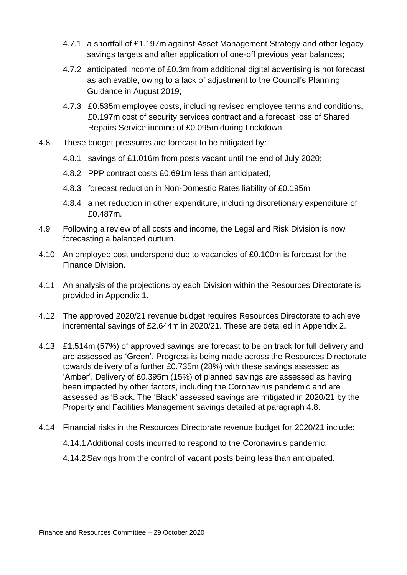- 4.7.1 a shortfall of £1.197m against Asset Management Strategy and other legacy savings targets and after application of one-off previous year balances;
- 4.7.2 anticipated income of £0.3m from additional digital advertising is not forecast as achievable, owing to a lack of adjustment to the Council's Planning Guidance in August 2019;
- 4.7.3 £0.535m employee costs, including revised employee terms and conditions, £0.197m cost of security services contract and a forecast loss of Shared Repairs Service income of £0.095m during Lockdown.
- 4.8 These budget pressures are forecast to be mitigated by:
	- 4.8.1 savings of £1.016m from posts vacant until the end of July 2020;
	- 4.8.2 PPP contract costs £0.691m less than anticipated;
	- 4.8.3 forecast reduction in Non-Domestic Rates liability of £0.195m;
	- 4.8.4 a net reduction in other expenditure, including discretionary expenditure of £0.487m.
- 4.9 Following a review of all costs and income, the Legal and Risk Division is now forecasting a balanced outturn.
- 4.10 An employee cost underspend due to vacancies of £0.100m is forecast for the Finance Division.
- 4.11 An analysis of the projections by each Division within the Resources Directorate is provided in Appendix 1.
- 4.12 The approved 2020/21 revenue budget requires Resources Directorate to achieve incremental savings of £2.644m in 2020/21. These are detailed in Appendix 2.
- 4.13 £1.514m (57%) of approved savings are forecast to be on track for full delivery and are assessed as 'Green'. Progress is being made across the Resources Directorate towards delivery of a further £0.735m (28%) with these savings assessed as 'Amber'. Delivery of £0.395m (15%) of planned savings are assessed as having been impacted by other factors, including the Coronavirus pandemic and are assessed as 'Black. The 'Black' assessed savings are mitigated in 2020/21 by the Property and Facilities Management savings detailed at paragraph 4.8.
- 4.14 Financial risks in the Resources Directorate revenue budget for 2020/21 include:
	- 4.14.1Additional costs incurred to respond to the Coronavirus pandemic;
	- 4.14.2Savings from the control of vacant posts being less than anticipated.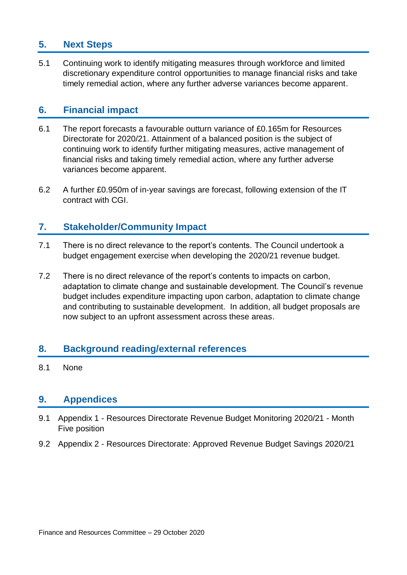## **5. Next Steps**

5.1 Continuing work to identify mitigating measures through workforce and limited discretionary expenditure control opportunities to manage financial risks and take timely remedial action, where any further adverse variances become apparent.

### **6. Financial impact**

- 6.1 The report forecasts a favourable outturn variance of £0.165m for Resources Directorate for 2020/21. Attainment of a balanced position is the subject of continuing work to identify further mitigating measures, active management of financial risks and taking timely remedial action, where any further adverse variances become apparent.
- 6.2 A further £0.950m of in-year savings are forecast, following extension of the IT contract with CGI.

### **7. Stakeholder/Community Impact**

- 7.1 There is no direct relevance to the report's contents. The Council undertook a budget engagement exercise when developing the 2020/21 revenue budget.
- 7.2 There is no direct relevance of the report's contents to impacts on carbon, adaptation to climate change and sustainable development. The Council's revenue budget includes expenditure impacting upon carbon, adaptation to climate change and contributing to sustainable development. In addition, all budget proposals are now subject to an upfront assessment across these areas.

## **8. Background reading/external references**

8.1 None

### **9. Appendices**

- 9.1 Appendix 1 Resources Directorate Revenue Budget Monitoring 2020/21 Month Five position
- 9.2 Appendix 2 Resources Directorate: Approved Revenue Budget Savings 2020/21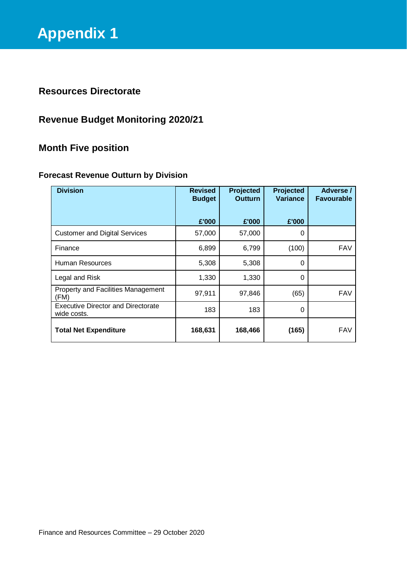## **Resources Directorate**

## **Revenue Budget Monitoring 2020/21**

## **Month Five position**

#### **Forecast Revenue Outturn by Division**

| <b>Division</b>                                          | <b>Revised</b><br><b>Budget</b> | Projected<br><b>Outturn</b> | <b>Projected</b><br><b>Variance</b> | Adverse /<br><b>Favourable</b> |
|----------------------------------------------------------|---------------------------------|-----------------------------|-------------------------------------|--------------------------------|
|                                                          | £'000                           | £'000                       | £'000                               |                                |
| <b>Customer and Digital Services</b>                     | 57,000                          | 57,000                      | 0                                   |                                |
| Finance                                                  | 6,899                           | 6,799                       | (100)                               | <b>FAV</b>                     |
| Human Resources                                          | 5,308                           | 5,308                       | 0                                   |                                |
| Legal and Risk                                           | 1,330                           | 1,330                       | 0                                   |                                |
| Property and Facilities Management<br>(FM)               | 97,911                          | 97,846                      | (65)                                | <b>FAV</b>                     |
| <b>Executive Director and Directorate</b><br>wide costs. | 183                             | 183                         | 0                                   |                                |
| <b>Total Net Expenditure</b>                             | 168,631                         | 168,466                     | (165)                               | <b>FAV</b>                     |